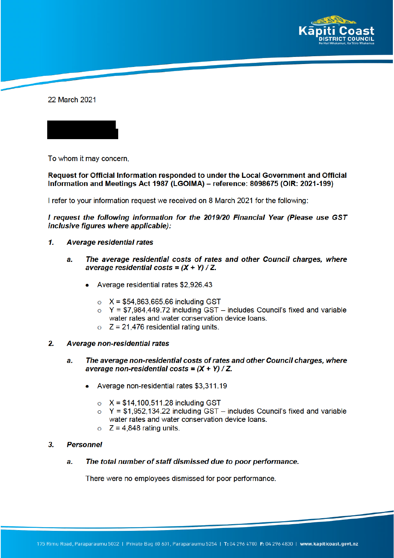

22 March 2021

To whom it may concern,

## Request for Official Information responded to under the Local Government and Official Information and Meetings Act 1987 (LGOIMA) – reference: 8098675 (OIR: 2021-199)

I refer to your information request we received on 8 March 2021 for the following:

I request the following information for the 2019/20 Financial Year (Please use GST inclusive figures where applicable):

- $\mathbf{1}$ **Average residential rates** 
	- The average residential costs of rates and other Council charges, where  $a$ average residential costs =  $(X + Y) / Z$ .
		- Average residential rates \$2,926.43
			- $\circ$  X = \$54,863,665.66 including GST
			- $\circ$  Y = \$7,984,449.72 including GST includes Council's fixed and variable water rates and water conservation device loans.
			- $\circ$  Z = 21,476 residential rating units.
- $2.$ Average non-residential rates
	- The average non-residential costs of rates and other Council charges, where a. average non-residential costs =  $(X + Y) / Z$ .
		- Average non-residential rates \$3,311.19
			- $\circ$  X = \$14,100,511.28 including GST
			- $Y = $1,952,134.22$  including GST includes Council's fixed and variable  $\circ$ water rates and water conservation device loans.
			- $\circ$  Z = 4,848 rating units.

## 3. **Personnel**

The total number of staff dismissed due to poor performance. a.

There were no employees dismissed for poor performance.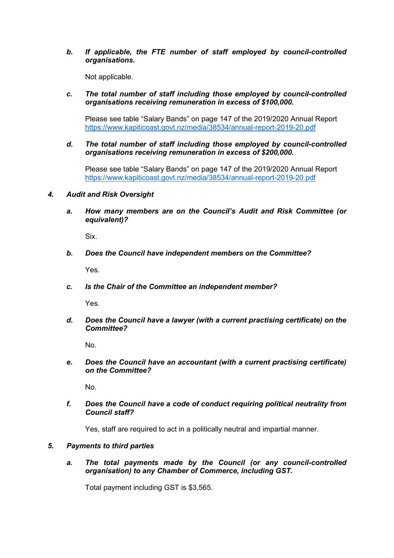*b. If applicable, the FTE number of staff employed by council-controlled organisations.*

Not applicable.

*c. The total number of staff including those employed by council-controlled organisations receiving remuneration in excess of \$100,000.*

Please see table "Salary Bands" on page 147 of the 2019/2020 Annual Report https://www.kapiticoast.govt.nz/media/38534/annual-report-2019-20.pdf

*d. The total number of staff including those employed by council-controlled organisations receiving remuneration in excess of \$200,000.*

Please see table "Salary Bands" on page 147 of the 2019/2020 Annual Report https://www.kapiticoast.govt.nz/media/38534/annual-report-2019-20.pdf

- *4. Audit and Risk Oversight*
	- *a. How many members are on the Council's Audit and Risk Committee (or equivalent)?*

Six.

*b. Does the Council have independent members on the Committee?*

Yes.

*c. Is the Chair of the Committee an independent member?*

Yes.

*d. Does the Council have a lawyer (with a current practising certificate) on the Committee?*

No.

*e. Does the Council have an accountant (with a current practising certificate) on the Committee?*

No.

*f. Does the Council have a code of conduct requiring political neutrality from Council staff?*

Yes, staff are required to act in a politically neutral and impartial manner.

## *5. Payments to third parties*

*a. The total payments made by the Council (or any council-controlled organisation) to any Chamber of Commerce, including GST.*

Total payment including GST is \$3,565.